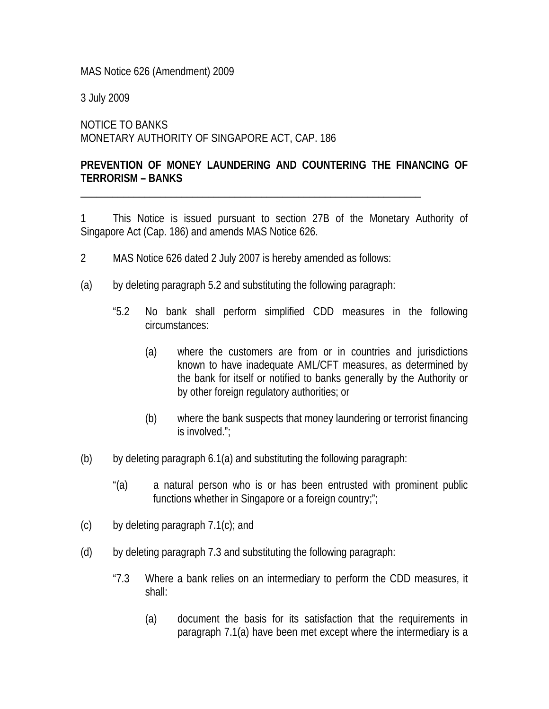MAS Notice 626 (Amendment) 2009

3 July 2009

NOTICE TO BANKS MONETARY AUTHORITY OF SINGAPORE ACT, CAP. 186

## **PREVENTION OF MONEY LAUNDERING AND COUNTERING THE FINANCING OF TERRORISM – BANKS**

\_\_\_\_\_\_\_\_\_\_\_\_\_\_\_\_\_\_\_\_\_\_\_\_\_\_\_\_\_\_\_\_\_\_\_\_\_\_\_\_\_\_\_\_\_\_\_\_\_\_\_\_\_\_\_\_\_\_\_\_\_\_\_\_

1 This Notice is issued pursuant to section 27B of the Monetary Authority of Singapore Act (Cap. 186) and amends MAS Notice 626.

- 2 MAS Notice 626 dated 2 July 2007 is hereby amended as follows:
- (a) by deleting paragraph 5.2 and substituting the following paragraph:
	- "5.2 No bank shall perform simplified CDD measures in the following circumstances:
		- (a) where the customers are from or in countries and jurisdictions known to have inadequate AML/CFT measures, as determined by the bank for itself or notified to banks generally by the Authority or by other foreign regulatory authorities; or
		- (b) where the bank suspects that money laundering or terrorist financing is involved.";
- (b) by deleting paragraph 6.1(a) and substituting the following paragraph:
	- "(a) a natural person who is or has been entrusted with prominent public functions whether in Singapore or a foreign country;";
- $(c)$  by deleting paragraph 7.1 $(c)$ ; and
- (d) by deleting paragraph 7.3 and substituting the following paragraph:
	- "7.3 Where a bank relies on an intermediary to perform the CDD measures, it shall:
		- (a) document the basis for its satisfaction that the requirements in paragraph 7.1(a) have been met except where the intermediary is a